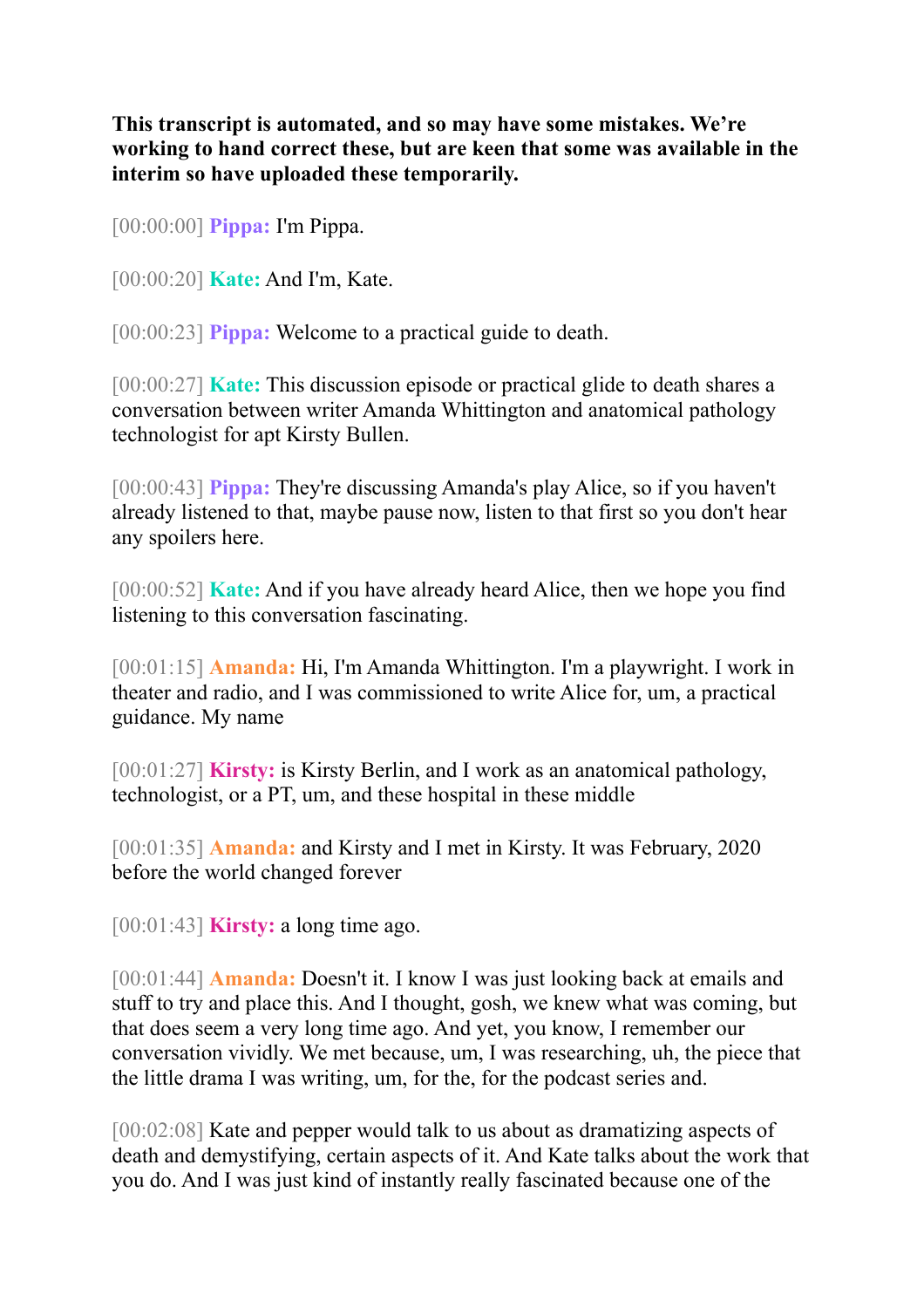**This transcript is automated, and so may have some mistakes. We're working to hand correct these, but are keen that some was available in the interim so have uploaded these temporarily.**

[00:00:00] **Pippa:** I'm Pippa.

[00:00:20] **Kate:** And I'm, Kate.

[00:00:23] **Pippa:** Welcome to a practical guide to death.

[00:00:27] **Kate:** This discussion episode or practical glide to death shares a conversation between writer Amanda Whittington and anatomical pathology technologist for apt Kirsty Bullen.

[00:00:43] **Pippa:** They're discussing Amanda's play Alice, so if you haven't already listened to that, maybe pause now, listen to that first so you don't hear any spoilers here.

[00:00:52] **Kate:** And if you have already heard Alice, then we hope you find listening to this conversation fascinating.

[00:01:15] **Amanda:** Hi, I'm Amanda Whittington. I'm a playwright. I work in theater and radio, and I was commissioned to write Alice for, um, a practical guidance. My name

[00:01:27] **Kirsty:** is Kirsty Berlin, and I work as an anatomical pathology, technologist, or a PT, um, and these hospital in these middle

[00:01:35] **Amanda:** and Kirsty and I met in Kirsty. It was February, 2020 before the world changed forever

[00:01:43] **Kirsty:** a long time ago.

[00:01:44] **Amanda:** Doesn't it. I know I was just looking back at emails and stuff to try and place this. And I thought, gosh, we knew what was coming, but that does seem a very long time ago. And yet, you know, I remember our conversation vividly. We met because, um, I was researching, uh, the piece that the little drama I was writing, um, for the, for the podcast series and.

[00:02:08] Kate and pepper would talk to us about as dramatizing aspects of death and demystifying, certain aspects of it. And Kate talks about the work that you do. And I was just kind of instantly really fascinated because one of the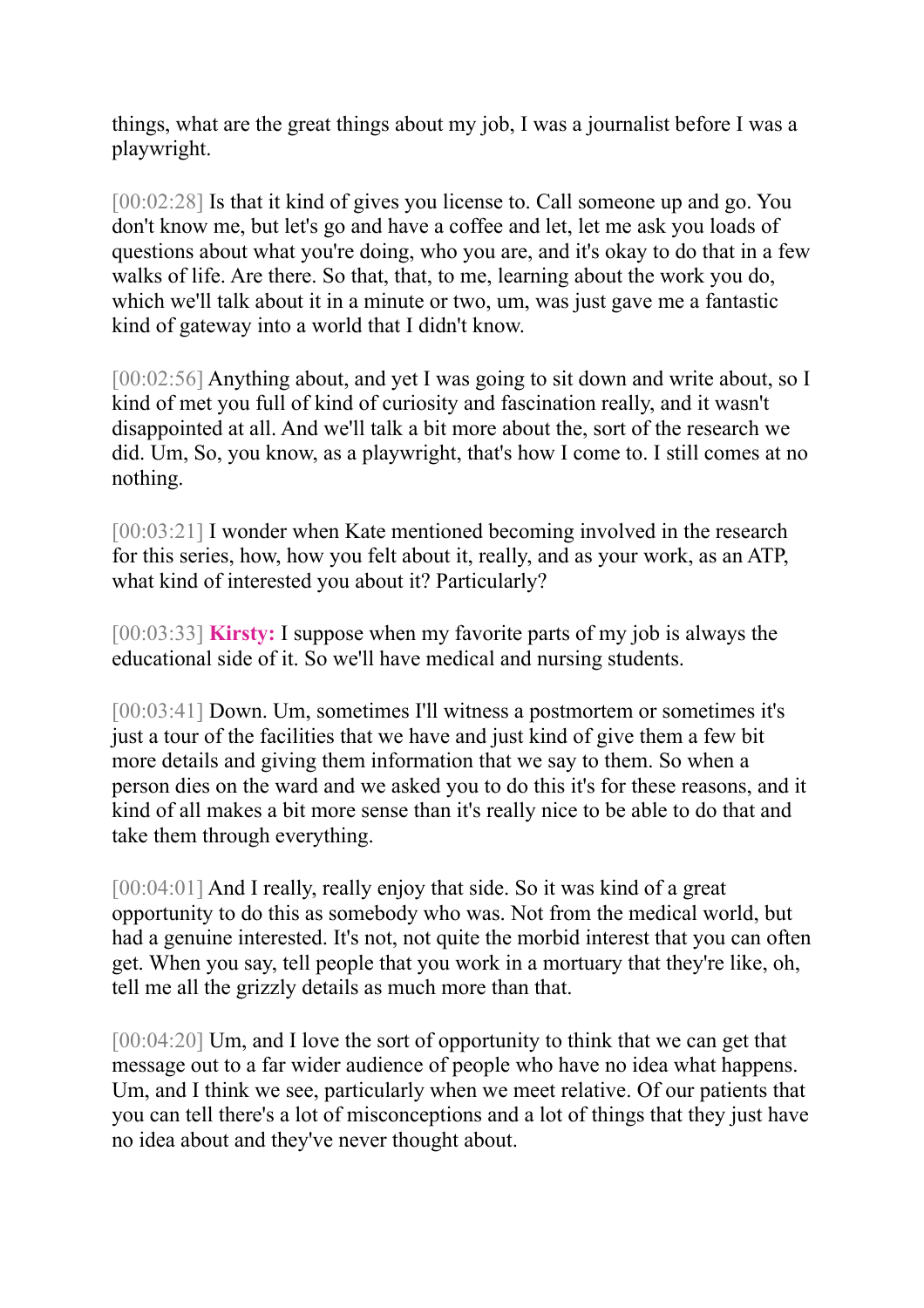things, what are the great things about my job, I was a journalist before I was a playwright.

[00:02:28] Is that it kind of gives you license to. Call someone up and go. You don't know me, but let's go and have a coffee and let, let me ask you loads of questions about what you're doing, who you are, and it's okay to do that in a few walks of life. Are there. So that, that, to me, learning about the work you do, which we'll talk about it in a minute or two, um, was just gave me a fantastic kind of gateway into a world that I didn't know.

[00:02:56] Anything about, and yet I was going to sit down and write about, so I kind of met you full of kind of curiosity and fascination really, and it wasn't disappointed at all. And we'll talk a bit more about the, sort of the research we did. Um, So, you know, as a playwright, that's how I come to. I still comes at no nothing.

[00:03:21] I wonder when Kate mentioned becoming involved in the research for this series, how, how you felt about it, really, and as your work, as an ATP, what kind of interested you about it? Particularly?

[00:03:33] **Kirsty:** I suppose when my favorite parts of my job is always the educational side of it. So we'll have medical and nursing students.

[00:03:41] Down. Um, sometimes I'll witness a postmortem or sometimes it's just a tour of the facilities that we have and just kind of give them a few bit more details and giving them information that we say to them. So when a person dies on the ward and we asked you to do this it's for these reasons, and it kind of all makes a bit more sense than it's really nice to be able to do that and take them through everything.

[00:04:01] And I really, really enjoy that side. So it was kind of a great opportunity to do this as somebody who was. Not from the medical world, but had a genuine interested. It's not, not quite the morbid interest that you can often get. When you say, tell people that you work in a mortuary that they're like, oh, tell me all the grizzly details as much more than that.

[00:04:20] Um, and I love the sort of opportunity to think that we can get that message out to a far wider audience of people who have no idea what happens. Um, and I think we see, particularly when we meet relative. Of our patients that you can tell there's a lot of misconceptions and a lot of things that they just have no idea about and they've never thought about.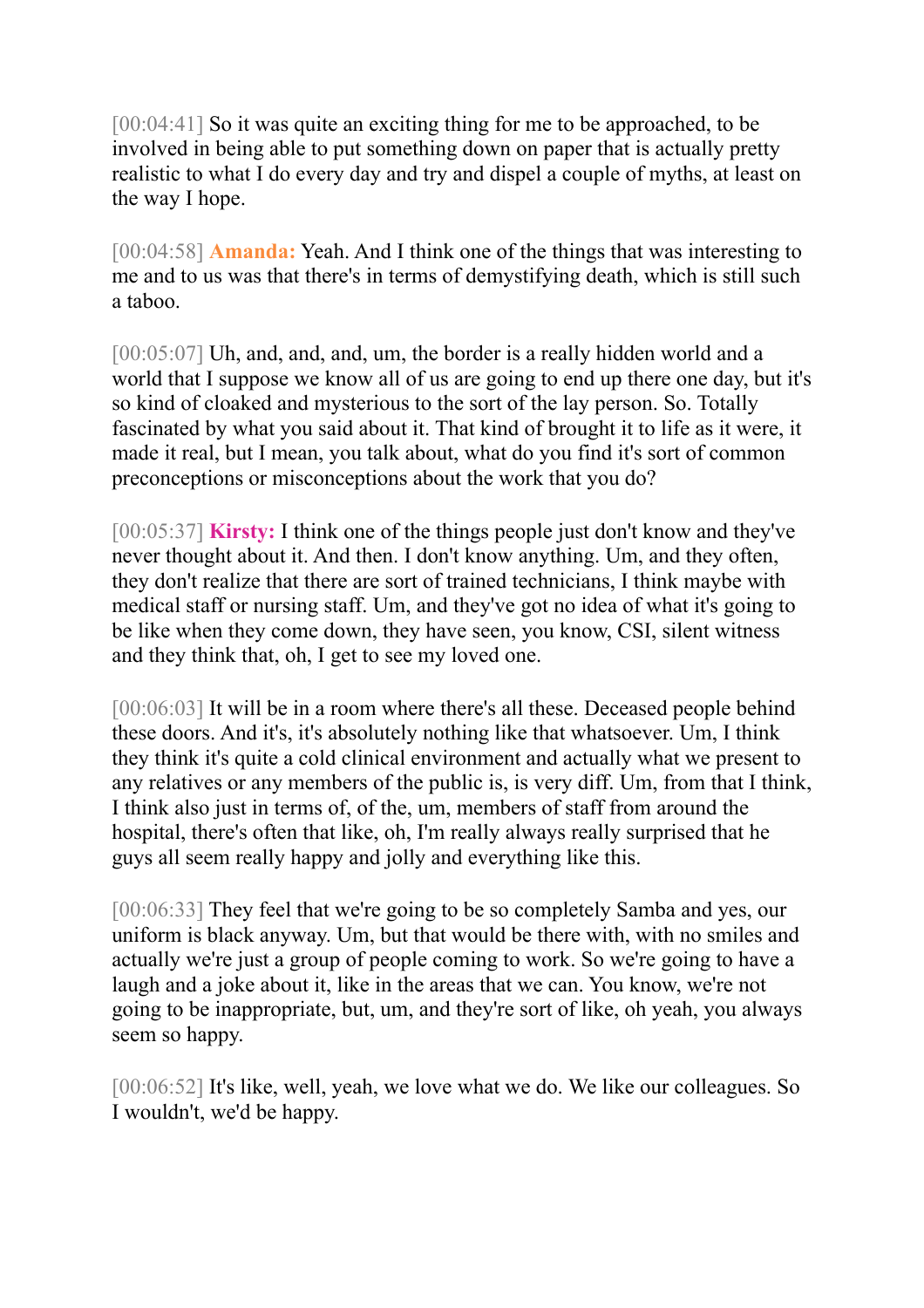[00:04:41] So it was quite an exciting thing for me to be approached, to be involved in being able to put something down on paper that is actually pretty realistic to what I do every day and try and dispel a couple of myths, at least on the way I hope.

[00:04:58] **Amanda:** Yeah. And I think one of the things that was interesting to me and to us was that there's in terms of demystifying death, which is still such a taboo.

[00:05:07] Uh, and, and, and, um, the border is a really hidden world and a world that I suppose we know all of us are going to end up there one day, but it's so kind of cloaked and mysterious to the sort of the lay person. So. Totally fascinated by what you said about it. That kind of brought it to life as it were, it made it real, but I mean, you talk about, what do you find it's sort of common preconceptions or misconceptions about the work that you do?

[00:05:37] **Kirsty:** I think one of the things people just don't know and they've never thought about it. And then. I don't know anything. Um, and they often, they don't realize that there are sort of trained technicians, I think maybe with medical staff or nursing staff. Um, and they've got no idea of what it's going to be like when they come down, they have seen, you know, CSI, silent witness and they think that, oh, I get to see my loved one.

[00:06:03] It will be in a room where there's all these. Deceased people behind these doors. And it's, it's absolutely nothing like that whatsoever. Um, I think they think it's quite a cold clinical environment and actually what we present to any relatives or any members of the public is, is very diff. Um, from that I think, I think also just in terms of, of the, um, members of staff from around the hospital, there's often that like, oh, I'm really always really surprised that he guys all seem really happy and jolly and everything like this.

[00:06:33] They feel that we're going to be so completely Samba and yes, our uniform is black anyway. Um, but that would be there with, with no smiles and actually we're just a group of people coming to work. So we're going to have a laugh and a joke about it, like in the areas that we can. You know, we're not going to be inappropriate, but, um, and they're sort of like, oh yeah, you always seem so happy.

[00:06:52] It's like, well, yeah, we love what we do. We like our colleagues. So I wouldn't, we'd be happy.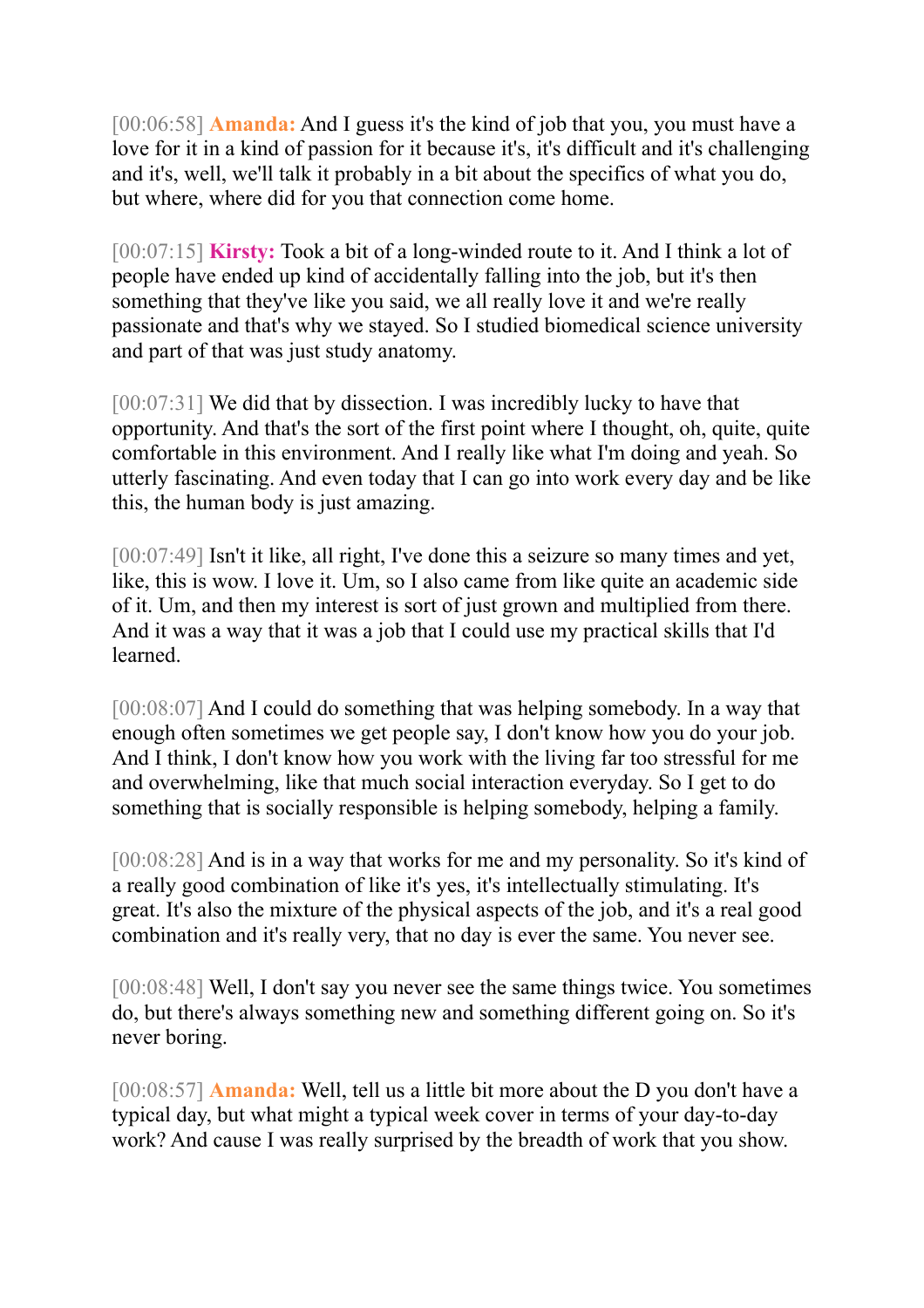[00:06:58] **Amanda:** And I guess it's the kind of job that you, you must have a love for it in a kind of passion for it because it's, it's difficult and it's challenging and it's, well, we'll talk it probably in a bit about the specifics of what you do, but where, where did for you that connection come home.

[00:07:15] **Kirsty:** Took a bit of a long-winded route to it. And I think a lot of people have ended up kind of accidentally falling into the job, but it's then something that they've like you said, we all really love it and we're really passionate and that's why we stayed. So I studied biomedical science university and part of that was just study anatomy.

[00:07:31] We did that by dissection. I was incredibly lucky to have that opportunity. And that's the sort of the first point where I thought, oh, quite, quite comfortable in this environment. And I really like what I'm doing and yeah. So utterly fascinating. And even today that I can go into work every day and be like this, the human body is just amazing.

[00:07:49] Isn't it like, all right, I've done this a seizure so many times and yet, like, this is wow. I love it. Um, so I also came from like quite an academic side of it. Um, and then my interest is sort of just grown and multiplied from there. And it was a way that it was a job that I could use my practical skills that I'd learned.

[00:08:07] And I could do something that was helping somebody. In a way that enough often sometimes we get people say, I don't know how you do your job. And I think, I don't know how you work with the living far too stressful for me and overwhelming, like that much social interaction everyday. So I get to do something that is socially responsible is helping somebody, helping a family.

[00:08:28] And is in a way that works for me and my personality. So it's kind of a really good combination of like it's yes, it's intellectually stimulating. It's great. It's also the mixture of the physical aspects of the job, and it's a real good combination and it's really very, that no day is ever the same. You never see.

[00:08:48] Well, I don't say you never see the same things twice. You sometimes do, but there's always something new and something different going on. So it's never boring.

[00:08:57] **Amanda:** Well, tell us a little bit more about the D you don't have a typical day, but what might a typical week cover in terms of your day-to-day work? And cause I was really surprised by the breadth of work that you show.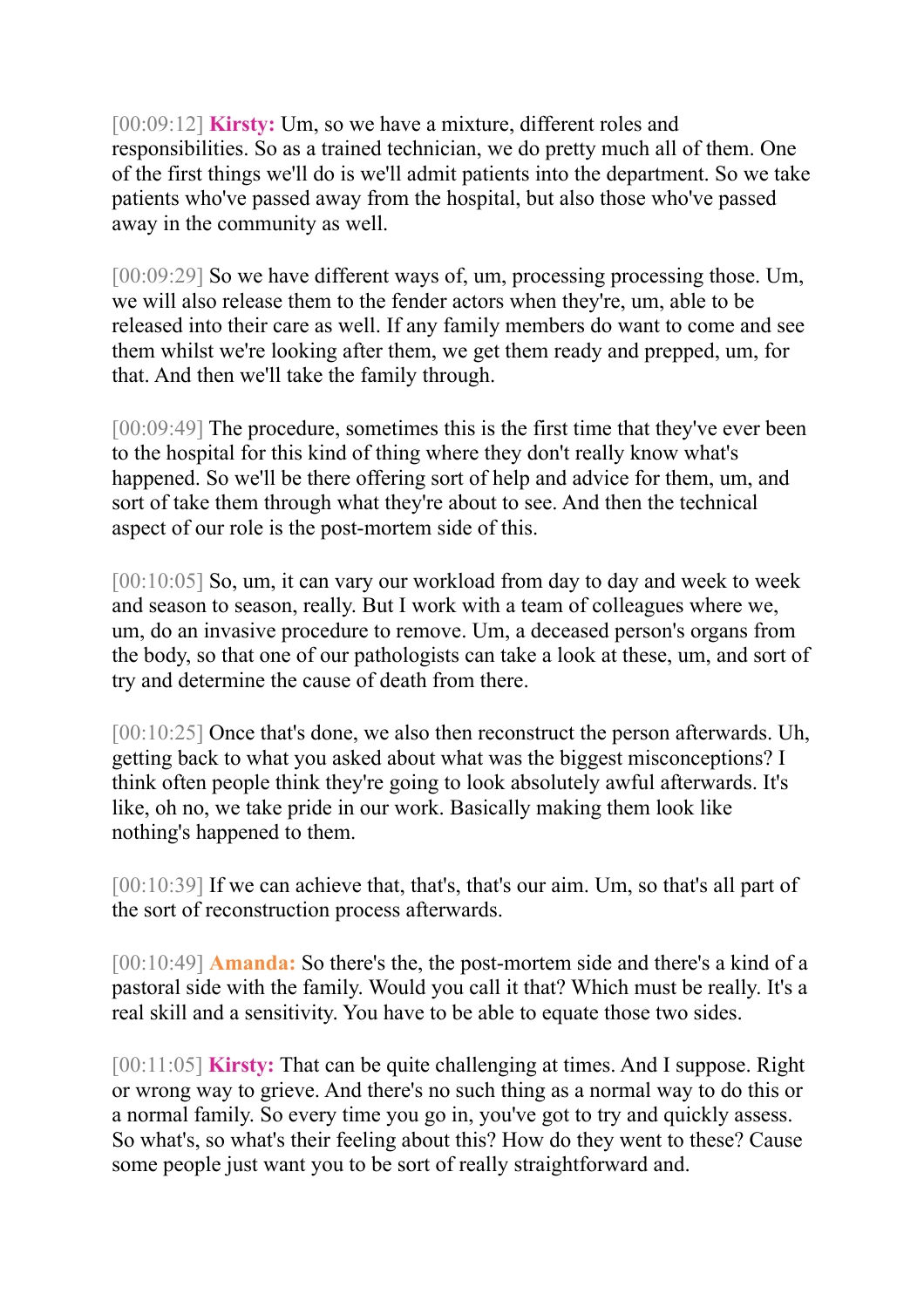[00:09:12] **Kirsty:** Um, so we have a mixture, different roles and responsibilities. So as a trained technician, we do pretty much all of them. One of the first things we'll do is we'll admit patients into the department. So we take patients who've passed away from the hospital, but also those who've passed away in the community as well.

[00:09:29] So we have different ways of, um, processing processing those. Um, we will also release them to the fender actors when they're, um, able to be released into their care as well. If any family members do want to come and see them whilst we're looking after them, we get them ready and prepped, um, for that. And then we'll take the family through.

[00:09:49] The procedure, sometimes this is the first time that they've ever been to the hospital for this kind of thing where they don't really know what's happened. So we'll be there offering sort of help and advice for them, um, and sort of take them through what they're about to see. And then the technical aspect of our role is the post-mortem side of this.

[00:10:05] So, um, it can vary our workload from day to day and week to week and season to season, really. But I work with a team of colleagues where we, um, do an invasive procedure to remove. Um, a deceased person's organs from the body, so that one of our pathologists can take a look at these, um, and sort of try and determine the cause of death from there.

[00:10:25] Once that's done, we also then reconstruct the person afterwards. Uh, getting back to what you asked about what was the biggest misconceptions? I think often people think they're going to look absolutely awful afterwards. It's like, oh no, we take pride in our work. Basically making them look like nothing's happened to them.

[00:10:39] If we can achieve that, that's, that's our aim. Um, so that's all part of the sort of reconstruction process afterwards.

[00:10:49] **Amanda:** So there's the, the post-mortem side and there's a kind of a pastoral side with the family. Would you call it that? Which must be really. It's a real skill and a sensitivity. You have to be able to equate those two sides.

[00:11:05] **Kirsty:** That can be quite challenging at times. And I suppose. Right or wrong way to grieve. And there's no such thing as a normal way to do this or a normal family. So every time you go in, you've got to try and quickly assess. So what's, so what's their feeling about this? How do they went to these? Cause some people just want you to be sort of really straightforward and.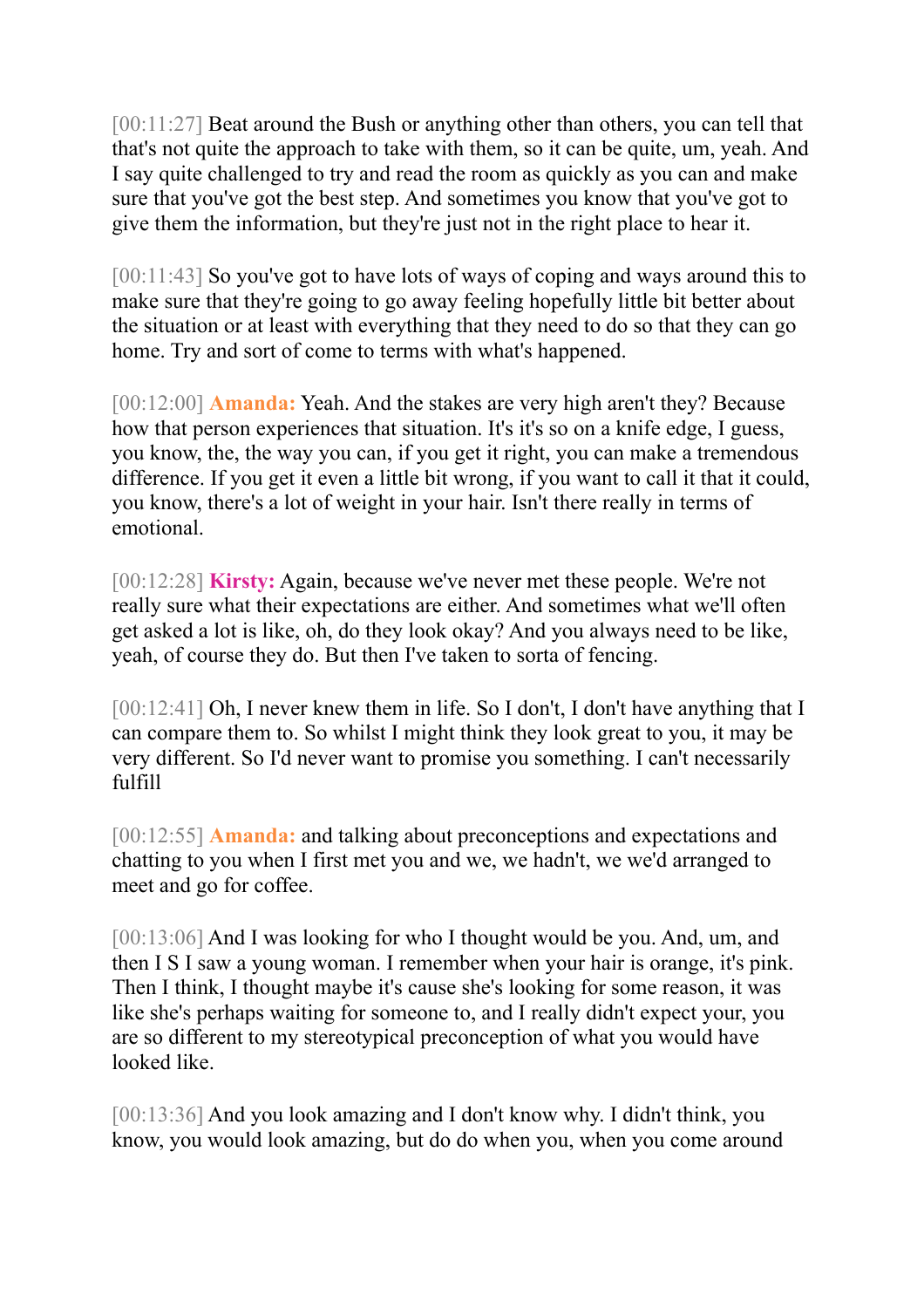[00:11:27] Beat around the Bush or anything other than others, you can tell that that's not quite the approach to take with them, so it can be quite, um, yeah. And I say quite challenged to try and read the room as quickly as you can and make sure that you've got the best step. And sometimes you know that you've got to give them the information, but they're just not in the right place to hear it.

[00:11:43] So you've got to have lots of ways of coping and ways around this to make sure that they're going to go away feeling hopefully little bit better about the situation or at least with everything that they need to do so that they can go home. Try and sort of come to terms with what's happened.

[00:12:00] **Amanda:** Yeah. And the stakes are very high aren't they? Because how that person experiences that situation. It's it's so on a knife edge, I guess, you know, the, the way you can, if you get it right, you can make a tremendous difference. If you get it even a little bit wrong, if you want to call it that it could, you know, there's a lot of weight in your hair. Isn't there really in terms of emotional.

[00:12:28] **Kirsty:** Again, because we've never met these people. We're not really sure what their expectations are either. And sometimes what we'll often get asked a lot is like, oh, do they look okay? And you always need to be like, yeah, of course they do. But then I've taken to sorta of fencing.

[00:12:41] Oh, I never knew them in life. So I don't, I don't have anything that I can compare them to. So whilst I might think they look great to you, it may be very different. So I'd never want to promise you something. I can't necessarily fulfill

[00:12:55] **Amanda:** and talking about preconceptions and expectations and chatting to you when I first met you and we, we hadn't, we we'd arranged to meet and go for coffee.

[00:13:06] And I was looking for who I thought would be you. And, um, and then I S I saw a young woman. I remember when your hair is orange, it's pink. Then I think, I thought maybe it's cause she's looking for some reason, it was like she's perhaps waiting for someone to, and I really didn't expect your, you are so different to my stereotypical preconception of what you would have looked like.

[00:13:36] And you look amazing and I don't know why. I didn't think, you know, you would look amazing, but do do when you, when you come around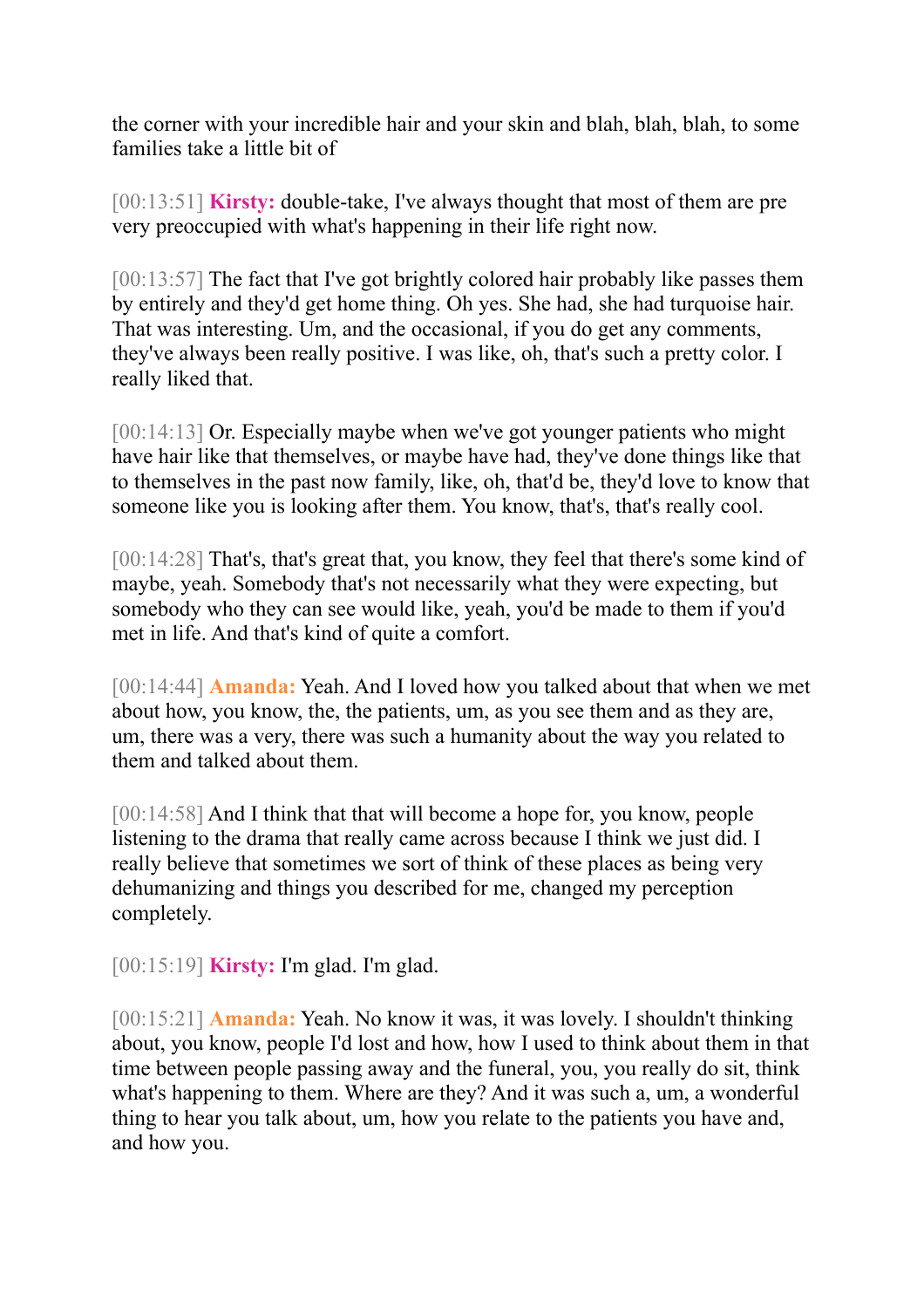the corner with your incredible hair and your skin and blah, blah, blah, to some families take a little bit of

[00:13:51] **Kirsty:** double-take, I've always thought that most of them are pre very preoccupied with what's happening in their life right now.

[00:13:57] The fact that I've got brightly colored hair probably like passes them by entirely and they'd get home thing. Oh yes. She had, she had turquoise hair. That was interesting. Um, and the occasional, if you do get any comments, they've always been really positive. I was like, oh, that's such a pretty color. I really liked that.

[00:14:13] Or. Especially maybe when we've got younger patients who might have hair like that themselves, or maybe have had, they've done things like that to themselves in the past now family, like, oh, that'd be, they'd love to know that someone like you is looking after them. You know, that's, that's really cool.

[00:14:28] That's, that's great that, you know, they feel that there's some kind of maybe, yeah. Somebody that's not necessarily what they were expecting, but somebody who they can see would like, yeah, you'd be made to them if you'd met in life. And that's kind of quite a comfort.

[00:14:44] **Amanda:** Yeah. And I loved how you talked about that when we met about how, you know, the, the patients, um, as you see them and as they are, um, there was a very, there was such a humanity about the way you related to them and talked about them.

[00:14:58] And I think that that will become a hope for, you know, people listening to the drama that really came across because I think we just did. I really believe that sometimes we sort of think of these places as being very dehumanizing and things you described for me, changed my perception completely.

[00:15:19] **Kirsty:** I'm glad. I'm glad.

[00:15:21] **Amanda:** Yeah. No know it was, it was lovely. I shouldn't thinking about, you know, people I'd lost and how, how I used to think about them in that time between people passing away and the funeral, you, you really do sit, think what's happening to them. Where are they? And it was such a, um, a wonderful thing to hear you talk about, um, how you relate to the patients you have and, and how you.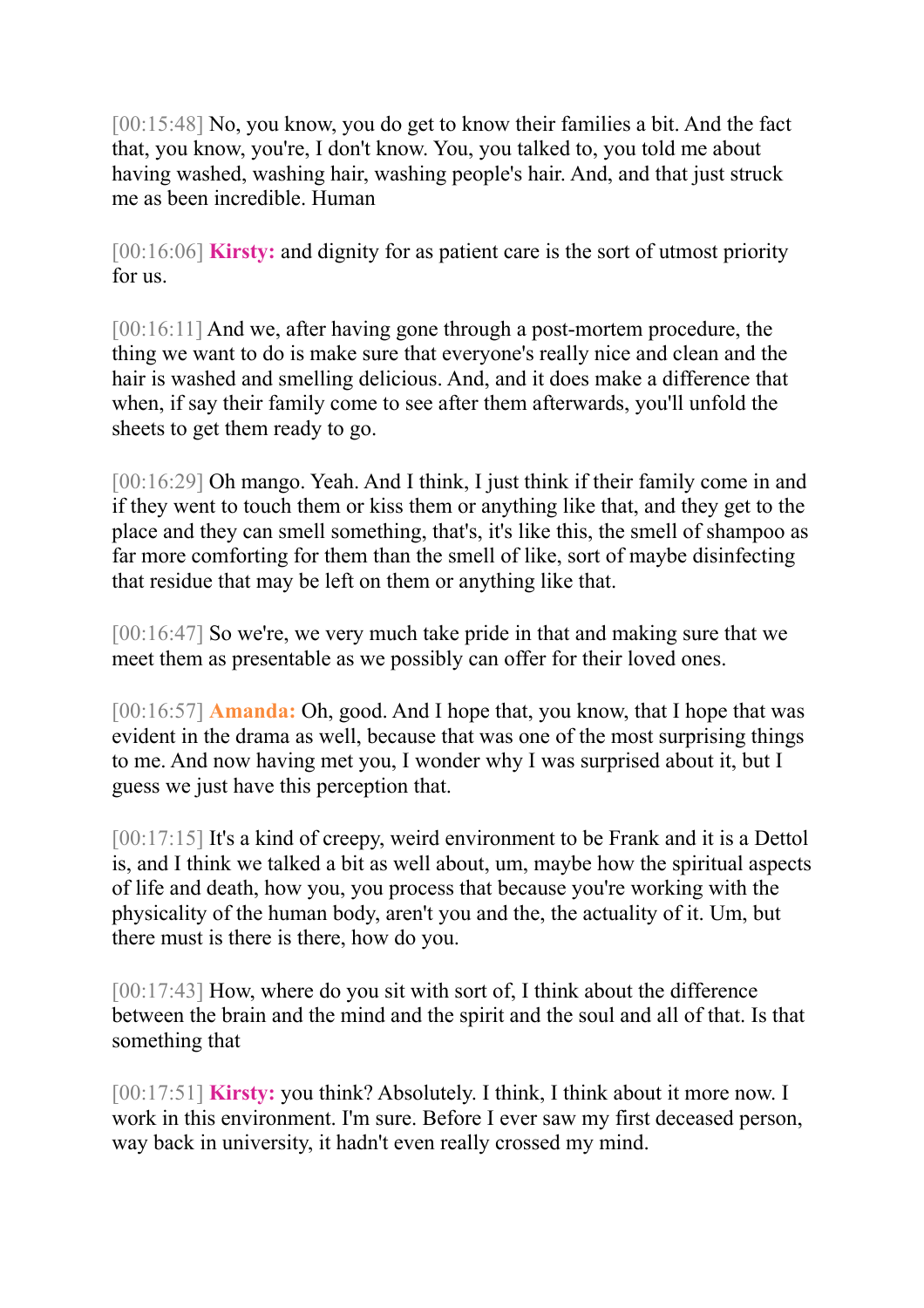[00:15:48] No, you know, you do get to know their families a bit. And the fact that, you know, you're, I don't know. You, you talked to, you told me about having washed, washing hair, washing people's hair. And, and that just struck me as been incredible. Human

[00:16:06] **Kirsty:** and dignity for as patient care is the sort of utmost priority for us.

[00:16:11] And we, after having gone through a post-mortem procedure, the thing we want to do is make sure that everyone's really nice and clean and the hair is washed and smelling delicious. And, and it does make a difference that when, if say their family come to see after them afterwards, you'll unfold the sheets to get them ready to go.

[00:16:29] Oh mango. Yeah. And I think, I just think if their family come in and if they went to touch them or kiss them or anything like that, and they get to the place and they can smell something, that's, it's like this, the smell of shampoo as far more comforting for them than the smell of like, sort of maybe disinfecting that residue that may be left on them or anything like that.

[00:16:47] So we're, we very much take pride in that and making sure that we meet them as presentable as we possibly can offer for their loved ones.

[00:16:57] **Amanda:** Oh, good. And I hope that, you know, that I hope that was evident in the drama as well, because that was one of the most surprising things to me. And now having met you, I wonder why I was surprised about it, but I guess we just have this perception that.

[00:17:15] It's a kind of creepy, weird environment to be Frank and it is a Dettol is, and I think we talked a bit as well about, um, maybe how the spiritual aspects of life and death, how you, you process that because you're working with the physicality of the human body, aren't you and the, the actuality of it. Um, but there must is there is there, how do you.

[00:17:43] How, where do you sit with sort of, I think about the difference between the brain and the mind and the spirit and the soul and all of that. Is that something that

[00:17:51] **Kirsty:** you think? Absolutely. I think, I think about it more now. I work in this environment. I'm sure. Before I ever saw my first deceased person, way back in university, it hadn't even really crossed my mind.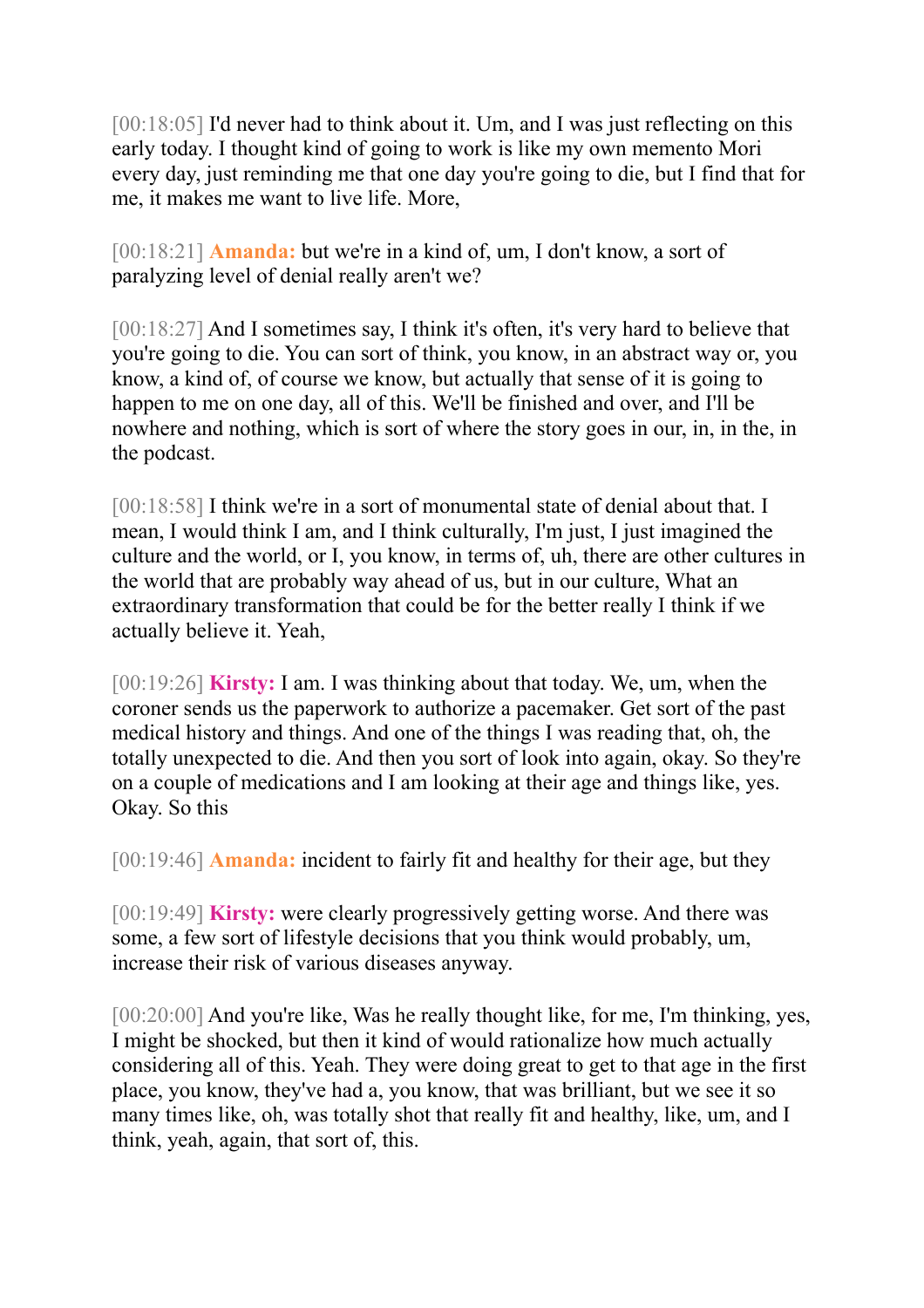[00:18:05] I'd never had to think about it. Um, and I was just reflecting on this early today. I thought kind of going to work is like my own memento Mori every day, just reminding me that one day you're going to die, but I find that for me, it makes me want to live life. More,

[00:18:21] **Amanda:** but we're in a kind of, um, I don't know, a sort of paralyzing level of denial really aren't we?

[00:18:27] And I sometimes say, I think it's often, it's very hard to believe that you're going to die. You can sort of think, you know, in an abstract way or, you know, a kind of, of course we know, but actually that sense of it is going to happen to me on one day, all of this. We'll be finished and over, and I'll be nowhere and nothing, which is sort of where the story goes in our, in, in the, in the podcast.

[00:18:58] I think we're in a sort of monumental state of denial about that. I mean, I would think I am, and I think culturally, I'm just, I just imagined the culture and the world, or I, you know, in terms of, uh, there are other cultures in the world that are probably way ahead of us, but in our culture, What an extraordinary transformation that could be for the better really I think if we actually believe it. Yeah,

[00:19:26] **Kirsty:** I am. I was thinking about that today. We, um, when the coroner sends us the paperwork to authorize a pacemaker. Get sort of the past medical history and things. And one of the things I was reading that, oh, the totally unexpected to die. And then you sort of look into again, okay. So they're on a couple of medications and I am looking at their age and things like, yes. Okay. So this

[00:19:46] **Amanda:** incident to fairly fit and healthy for their age, but they

[00:19:49] **Kirsty:** were clearly progressively getting worse. And there was some, a few sort of lifestyle decisions that you think would probably, um, increase their risk of various diseases anyway.

[00:20:00] And you're like, Was he really thought like, for me, I'm thinking, yes, I might be shocked, but then it kind of would rationalize how much actually considering all of this. Yeah. They were doing great to get to that age in the first place, you know, they've had a, you know, that was brilliant, but we see it so many times like, oh, was totally shot that really fit and healthy, like, um, and I think, yeah, again, that sort of, this.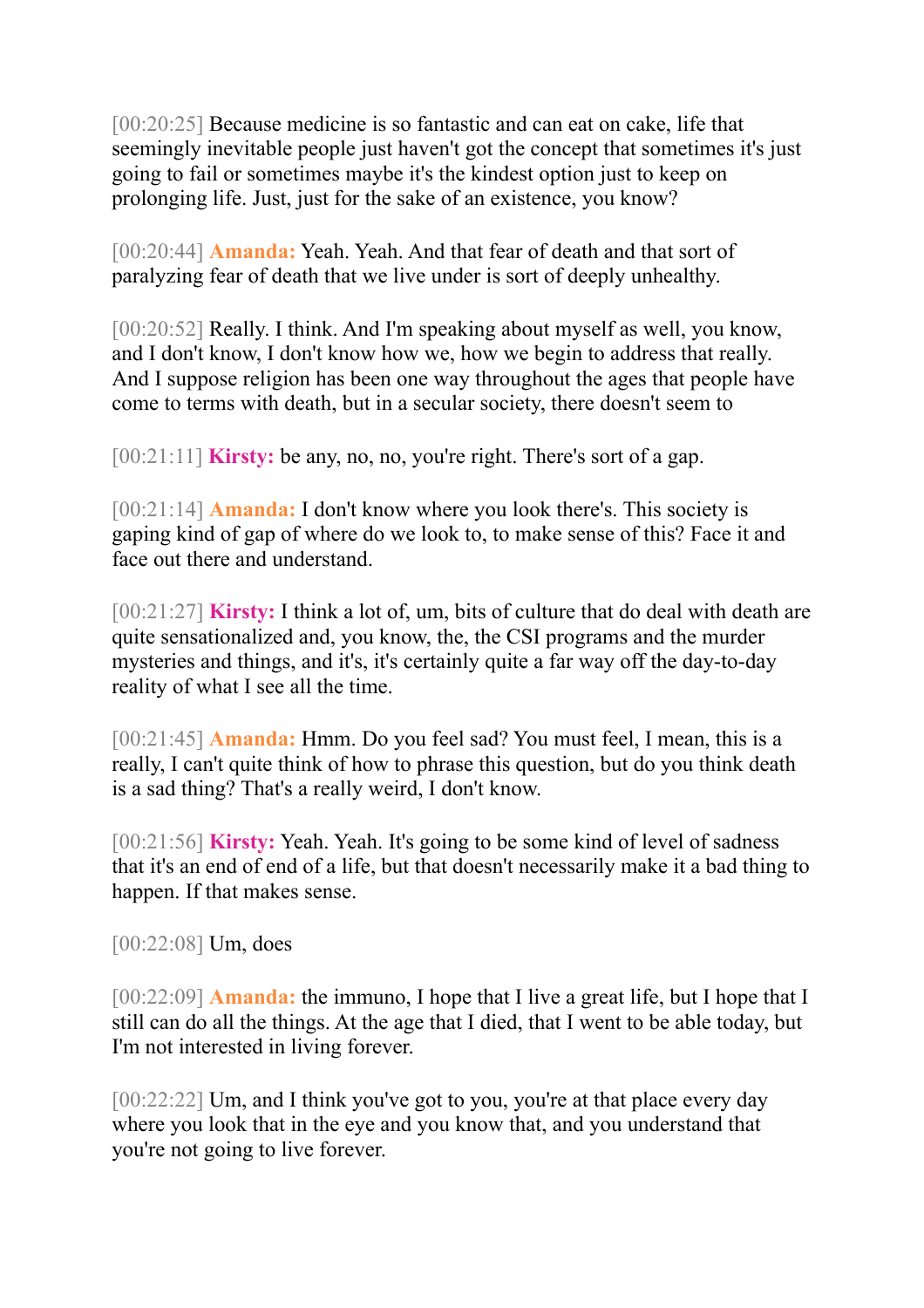[00:20:25] Because medicine is so fantastic and can eat on cake, life that seemingly inevitable people just haven't got the concept that sometimes it's just going to fail or sometimes maybe it's the kindest option just to keep on prolonging life. Just, just for the sake of an existence, you know?

[00:20:44] **Amanda:** Yeah. Yeah. And that fear of death and that sort of paralyzing fear of death that we live under is sort of deeply unhealthy.

[00:20:52] Really. I think. And I'm speaking about myself as well, you know, and I don't know, I don't know how we, how we begin to address that really. And I suppose religion has been one way throughout the ages that people have come to terms with death, but in a secular society, there doesn't seem to

[00:21:11] **Kirsty:** be any, no, no, you're right. There's sort of a gap.

[00:21:14] **Amanda:** I don't know where you look there's. This society is gaping kind of gap of where do we look to, to make sense of this? Face it and face out there and understand.

[00:21:27] **Kirsty:** I think a lot of, um, bits of culture that do deal with death are quite sensationalized and, you know, the, the CSI programs and the murder mysteries and things, and it's, it's certainly quite a far way off the day-to-day reality of what I see all the time.

[00:21:45] **Amanda:** Hmm. Do you feel sad? You must feel, I mean, this is a really, I can't quite think of how to phrase this question, but do you think death is a sad thing? That's a really weird, I don't know.

[00:21:56] **Kirsty:** Yeah. Yeah. It's going to be some kind of level of sadness that it's an end of end of a life, but that doesn't necessarily make it a bad thing to happen. If that makes sense.

[00:22:08] Um, does

[00:22:09] **Amanda:** the immuno, I hope that I live a great life, but I hope that I still can do all the things. At the age that I died, that I went to be able today, but I'm not interested in living forever.

[00:22:22] Um, and I think you've got to you, you're at that place every day where you look that in the eye and you know that, and you understand that you're not going to live forever.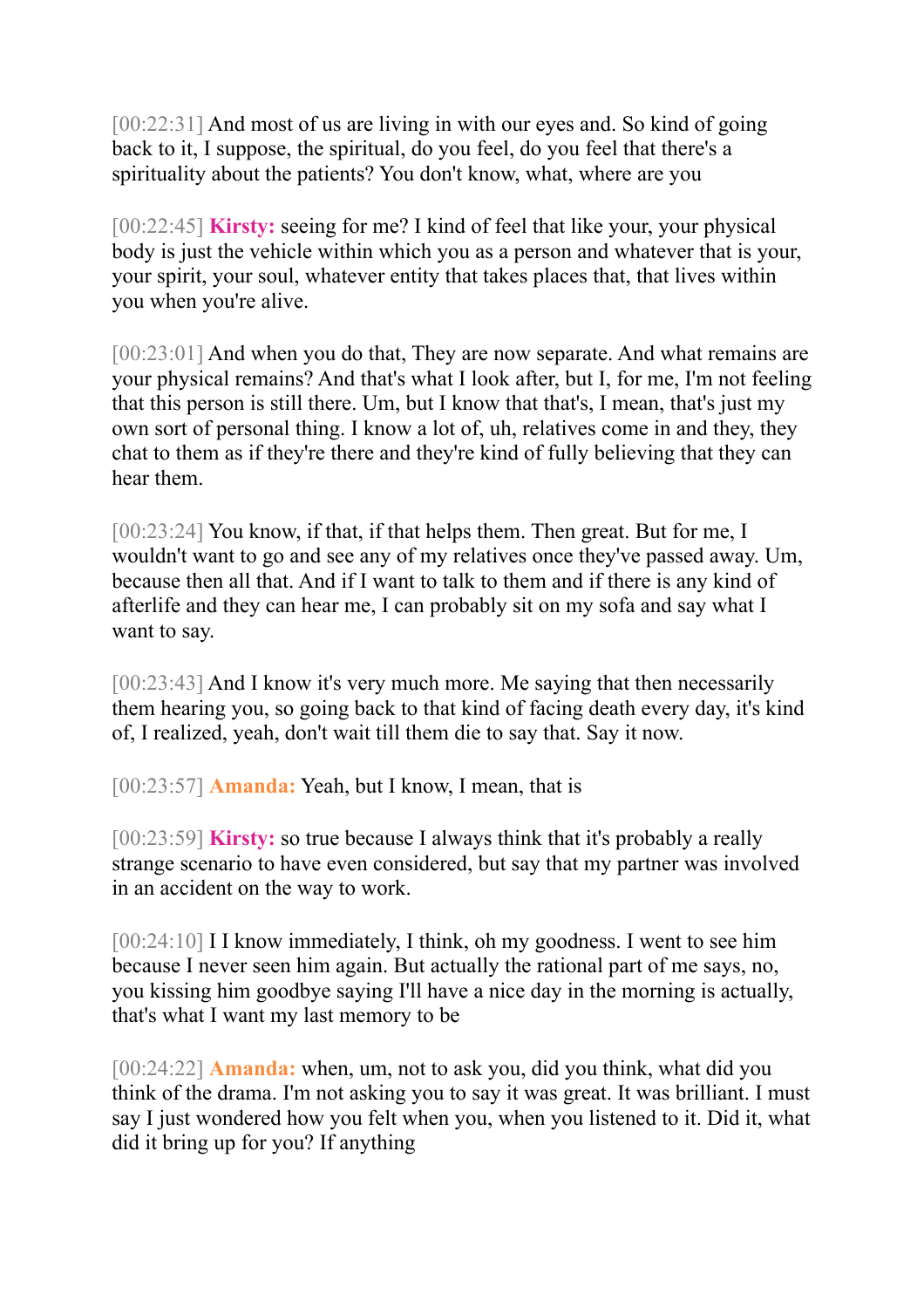[00:22:31] And most of us are living in with our eyes and. So kind of going back to it, I suppose, the spiritual, do you feel, do you feel that there's a spirituality about the patients? You don't know, what, where are you

[00:22:45] **Kirsty:** seeing for me? I kind of feel that like your, your physical body is just the vehicle within which you as a person and whatever that is your, your spirit, your soul, whatever entity that takes places that, that lives within you when you're alive.

[00:23:01] And when you do that, They are now separate. And what remains are your physical remains? And that's what I look after, but I, for me, I'm not feeling that this person is still there. Um, but I know that that's, I mean, that's just my own sort of personal thing. I know a lot of, uh, relatives come in and they, they chat to them as if they're there and they're kind of fully believing that they can hear them.

[00:23:24] You know, if that, if that helps them. Then great. But for me, I wouldn't want to go and see any of my relatives once they've passed away. Um, because then all that. And if I want to talk to them and if there is any kind of afterlife and they can hear me, I can probably sit on my sofa and say what I want to say.

[00:23:43] And I know it's very much more. Me saying that then necessarily them hearing you, so going back to that kind of facing death every day, it's kind of, I realized, yeah, don't wait till them die to say that. Say it now.

[00:23:57] **Amanda:** Yeah, but I know, I mean, that is

[00:23:59] **Kirsty:** so true because I always think that it's probably a really strange scenario to have even considered, but say that my partner was involved in an accident on the way to work.

[00:24:10] I I know immediately, I think, oh my goodness. I went to see him because I never seen him again. But actually the rational part of me says, no, you kissing him goodbye saying I'll have a nice day in the morning is actually, that's what I want my last memory to be

[00:24:22] **Amanda:** when, um, not to ask you, did you think, what did you think of the drama. I'm not asking you to say it was great. It was brilliant. I must say I just wondered how you felt when you, when you listened to it. Did it, what did it bring up for you? If anything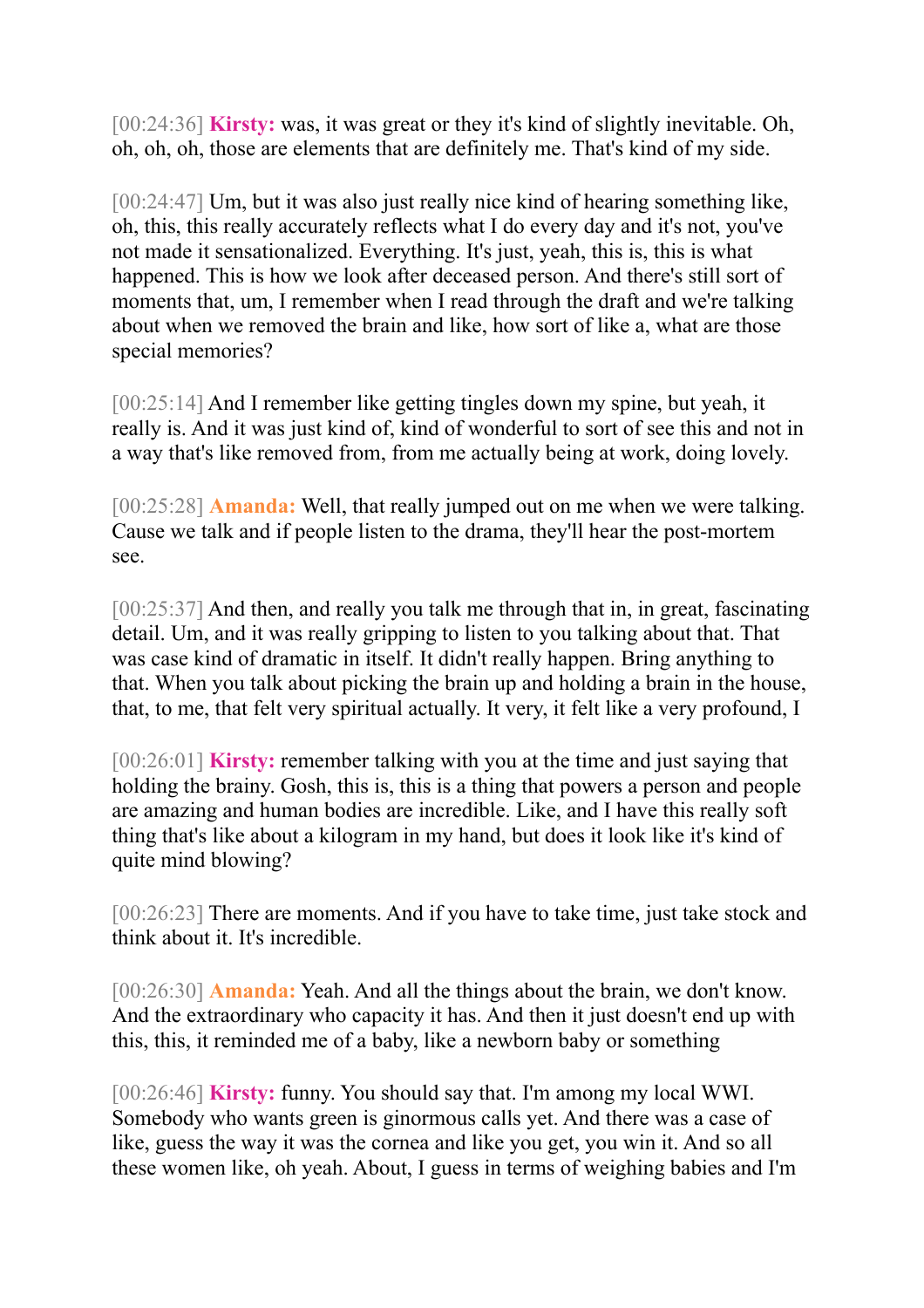[00:24:36] **Kirsty:** was, it was great or they it's kind of slightly inevitable. Oh, oh, oh, oh, those are elements that are definitely me. That's kind of my side.

[00:24:47] Um, but it was also just really nice kind of hearing something like, oh, this, this really accurately reflects what I do every day and it's not, you've not made it sensationalized. Everything. It's just, yeah, this is, this is what happened. This is how we look after deceased person. And there's still sort of moments that, um, I remember when I read through the draft and we're talking about when we removed the brain and like, how sort of like a, what are those special memories?

[00:25:14] And I remember like getting tingles down my spine, but yeah, it really is. And it was just kind of, kind of wonderful to sort of see this and not in a way that's like removed from, from me actually being at work, doing lovely.

[00:25:28] **Amanda:** Well, that really jumped out on me when we were talking. Cause we talk and if people listen to the drama, they'll hear the post-mortem see.

[00:25:37] And then, and really you talk me through that in, in great, fascinating detail. Um, and it was really gripping to listen to you talking about that. That was case kind of dramatic in itself. It didn't really happen. Bring anything to that. When you talk about picking the brain up and holding a brain in the house, that, to me, that felt very spiritual actually. It very, it felt like a very profound, I

[00:26:01] **Kirsty:** remember talking with you at the time and just saying that holding the brainy. Gosh, this is, this is a thing that powers a person and people are amazing and human bodies are incredible. Like, and I have this really soft thing that's like about a kilogram in my hand, but does it look like it's kind of quite mind blowing?

[00:26:23] There are moments. And if you have to take time, just take stock and think about it. It's incredible.

[00:26:30] **Amanda:** Yeah. And all the things about the brain, we don't know. And the extraordinary who capacity it has. And then it just doesn't end up with this, this, it reminded me of a baby, like a newborn baby or something

[00:26:46] **Kirsty:** funny. You should say that. I'm among my local WWI. Somebody who wants green is ginormous calls yet. And there was a case of like, guess the way it was the cornea and like you get, you win it. And so all these women like, oh yeah. About, I guess in terms of weighing babies and I'm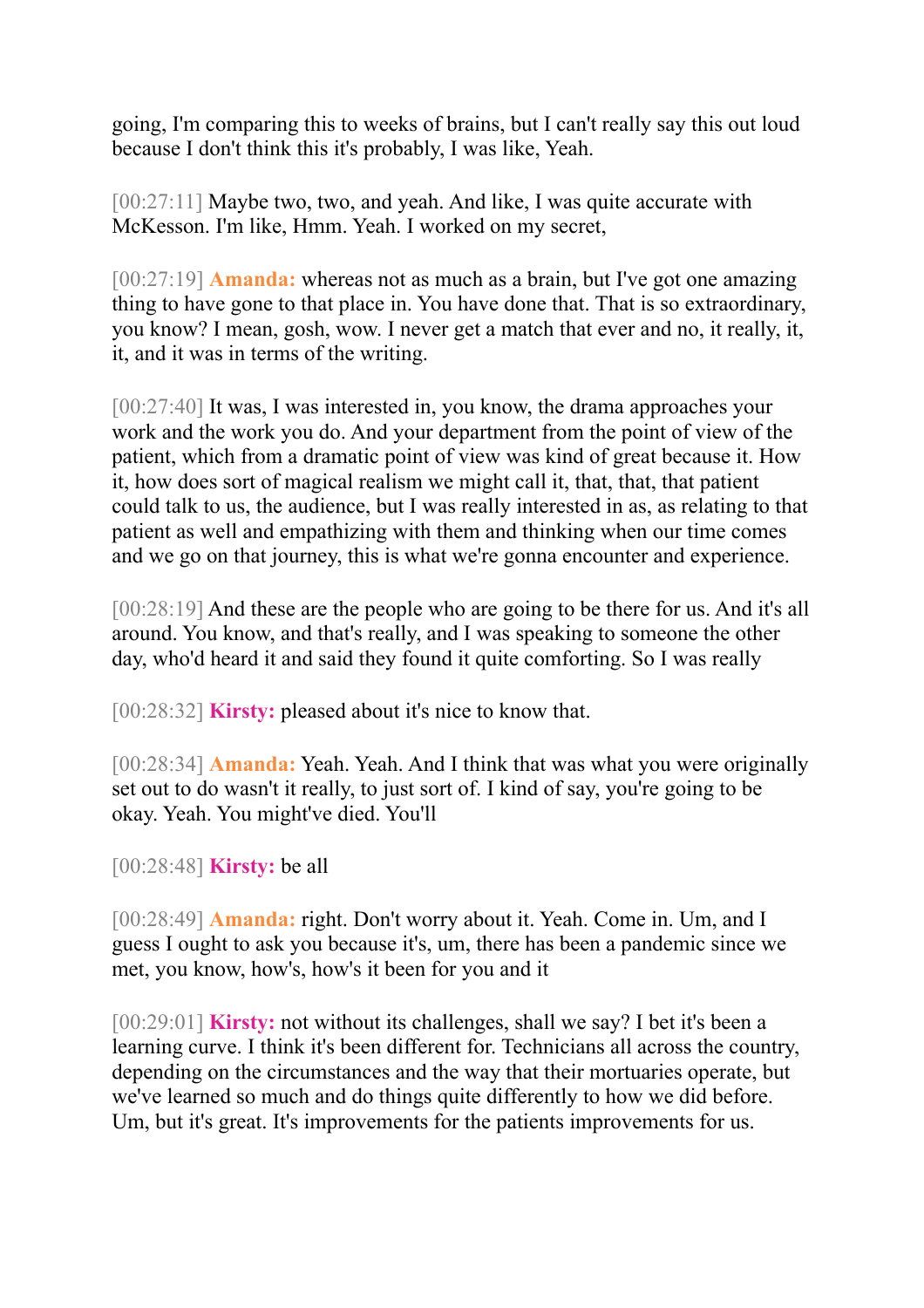going, I'm comparing this to weeks of brains, but I can't really say this out loud because I don't think this it's probably, I was like, Yeah.

[00:27:11] Maybe two, two, and yeah. And like, I was quite accurate with McKesson. I'm like, Hmm. Yeah. I worked on my secret,

[00:27:19] **Amanda:** whereas not as much as a brain, but I've got one amazing thing to have gone to that place in. You have done that. That is so extraordinary, you know? I mean, gosh, wow. I never get a match that ever and no, it really, it, it, and it was in terms of the writing.

[00:27:40] It was, I was interested in, you know, the drama approaches your work and the work you do. And your department from the point of view of the patient, which from a dramatic point of view was kind of great because it. How it, how does sort of magical realism we might call it, that, that, that patient could talk to us, the audience, but I was really interested in as, as relating to that patient as well and empathizing with them and thinking when our time comes and we go on that journey, this is what we're gonna encounter and experience.

[00:28:19] And these are the people who are going to be there for us. And it's all around. You know, and that's really, and I was speaking to someone the other day, who'd heard it and said they found it quite comforting. So I was really

[00:28:32] **Kirsty:** pleased about it's nice to know that.

[00:28:34] **Amanda:** Yeah. Yeah. And I think that was what you were originally set out to do wasn't it really, to just sort of. I kind of say, you're going to be okay. Yeah. You might've died. You'll

[00:28:48] **Kirsty:** be all

[00:28:49] **Amanda:** right. Don't worry about it. Yeah. Come in. Um, and I guess I ought to ask you because it's, um, there has been a pandemic since we met, you know, how's, how's it been for you and it

[00:29:01] **Kirsty:** not without its challenges, shall we say? I bet it's been a learning curve. I think it's been different for. Technicians all across the country, depending on the circumstances and the way that their mortuaries operate, but we've learned so much and do things quite differently to how we did before. Um, but it's great. It's improvements for the patients improvements for us.